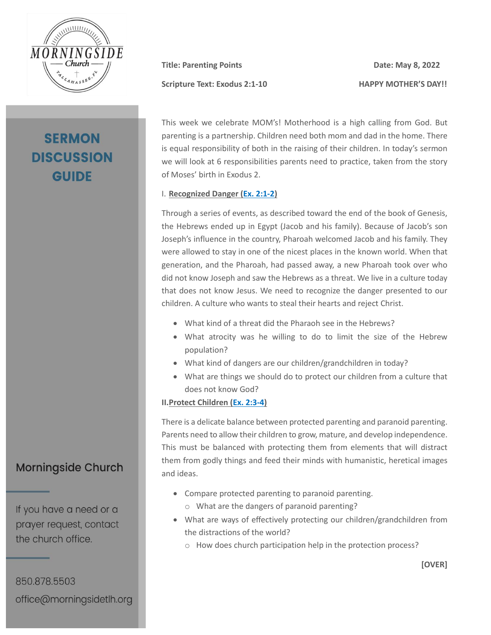

# **SERMON DISCUSSION GUIDE**

**Title: Parenting Points Date: May 8, 2022** 

**Scripture Text: Exodus 2:1-10 HAPPY MOTHER'S DAY!!**

This week we celebrate MOM's! Motherhood is a high calling from God. But parenting is a partnership. Children need both mom and dad in the home. There is equal responsibility of both in the raising of their children. In today's sermon we will look at 6 responsibilities parents need to practice, taken from the story of Moses' birth in Exodus 2.

#### I. **Recognized Danger [\(Ex. 2:1-2\)](https://my.bible.com/bible/2692/EXO.2.1-2.nasb2020)**

Through a series of events, as described toward the end of the book of Genesis, the Hebrews ended up in Egypt (Jacob and his family). Because of Jacob's son Joseph's influence in the country, Pharoah welcomed Jacob and his family. They were allowed to stay in one of the nicest places in the known world. When that generation, and the Pharoah, had passed away, a new Pharoah took over who did not know Joseph and saw the Hebrews as a threat. We live in a culture today that does not know Jesus. We need to recognize the danger presented to our children. A culture who wants to steal their hearts and reject Christ.

- What kind of a threat did the Pharaoh see in the Hebrews?
- What atrocity was he willing to do to limit the size of the Hebrew population?
- What kind of dangers are our children/grandchildren in today?
- What are things we should do to protect our children from a culture that does not know God?

#### **II.Protect Children [\(Ex. 2:3-4\)](https://my.bible.com/bible/2692/EXO.2.3-4.nasb2020)**

There is a delicate balance between protected parenting and paranoid parenting. Parents need to allow their children to grow, mature, and develop independence. This must be balanced with protecting them from elements that will distract them from godly things and feed their minds with humanistic, heretical images and ideas.

- Compare protected parenting to paranoid parenting.
	- o What are the dangers of paranoid parenting?
- What are ways of effectively protecting our children/grandchildren from the distractions of the world?
	- o How does church participation help in the protection process?

**Morningside Church** 

If you have a need or a prayer request, contact the church office.

850.878.5503 office@morningsidetlh.org **[OVER]**